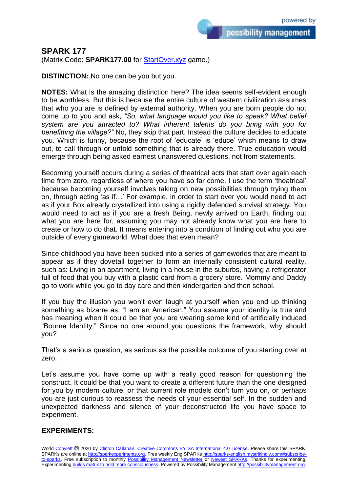possibility management

## **SPARK 177**

(Matrix Code: **SPARK177.00** for **StartOver.xyz** game.)

**DISTINCTION:** No one can be you but you.

**NOTES:** What is the amazing distinction here? The idea seems self-evident enough to be worthless. But this is because the entire culture of western civilization assumes that who you are is defined by external authority. When you are born people do not come up to you and ask, *"So, what language would you like to speak? What belief system are you attracted to? What inherent talents do you bring with you for benefitting the village?"* No, they skip that part. Instead the culture decides to educate you. Which is funny, because the root of 'educate' is 'educe' which means to draw out, to call through or unfold something that is already there. True education would emerge through being asked earnest unanswered questions, not from statements.

Becoming yourself occurs during a series of theatrical acts that start over again each time from zero, regardless of where you have so far come. I use the term 'theatrical' because becoming yourself involves taking on new possibilities through trying them on, through acting 'as if…' For example, in order to start over you would need to act as if your Box already crystallized into using a rigidly defended survival strategy. You would need to act as if you are a fresh Being, newly arrived on Earth, finding out what you are here for, assuming you may not already know what you are here to create or how to do that. It means entering into a condition of finding out who you are outside of every gameworld. What does that even mean?

Since childhood you have been sucked into a series of gameworlds that are meant to appear as if they dovetail together to form an internally consistent cultural reality, such as: Living in an apartment, living in a house in the suburbs, having a refrigerator full of food that you buy with a plastic card from a grocery store. Mommy and Daddy go to work while you go to day care and then kindergarten and then school.

If you buy the illusion you won't even laugh at yourself when you end up thinking something as bizarre as, "I am an American." You assume your identity is true and has meaning when it could be that you are wearing some kind of artificially induced "Bourne Identity." Since no one around you questions the framework, why should you?

That's a serious question, as serious as the possible outcome of you starting over at zero.

Let's assume you have come up with a really good reason for questioning the construct. It could be that you want to create a different future than the one designed for you by modern culture, or that current role models don't turn you on, or perhaps you are just curious to reassess the needs of your essential self. In the sudden and unexpected darkness and silence of your deconstructed life you have space to experiment.

## **EXPERIMENTS:**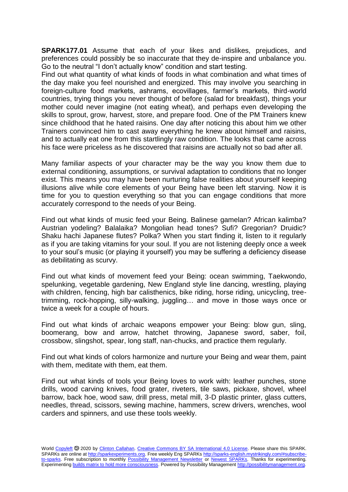**SPARK177.01** Assume that each of your likes and dislikes, prejudices, and preferences could possibly be so inaccurate that they de-inspire and unbalance you. Go to the neutral "I don't actually know" condition and start testing.

Find out what quantity of what kinds of foods in what combination and what times of the day make you feel nourished and energized. This may involve you searching in foreign-culture food markets, ashrams, ecovillages, farmer's markets, third-world countries, trying things you never thought of before (salad for breakfast), things your mother could never imagine (not eating wheat), and perhaps even developing the skills to sprout, grow, harvest, store, and prepare food. One of the PM Trainers knew since childhood that he hated raisins. One day after noticing this about him we other Trainers convinced him to cast away everything he knew about himself and raisins, and to actually eat one from this startlingly raw condition. The looks that came across his face were priceless as he discovered that raisins are actually not so bad after all.

Many familiar aspects of your character may be the way you know them due to external conditioning, assumptions, or survival adaptation to conditions that no longer exist. This means you may have been nurturing false realities about yourself keeping illusions alive while core elements of your Being have been left starving. Now it is time for you to question everything so that you can engage conditions that more accurately correspond to the needs of your Being.

Find out what kinds of music feed your Being. Balinese gamelan? African kalimba? Austrian yodeling? Balalaika? Mongolian head tones? Sufi? Gregorian? Druidic? Shaku hachi Japanese flutes? Polka? When you start finding it, listen to it regularly as if you are taking vitamins for your soul. If you are not listening deeply once a week to your soul's music (or playing it yourself) you may be suffering a deficiency disease as debilitating as scurvy.

Find out what kinds of movement feed your Being: ocean swimming, Taekwondo, spelunking, vegetable gardening, New England style line dancing, wrestling, playing with children, fencing, high bar calisthenics, bike riding, horse riding, unicycling, treetrimming, rock-hopping, silly-walking, juggling… and move in those ways once or twice a week for a couple of hours.

Find out what kinds of archaic weapons empower your Being: blow gun, sling, boomerang, bow and arrow, hatchet throwing, Japanese sword, saber, foil, crossbow, slingshot, spear, long staff, nan-chucks, and practice them regularly.

Find out what kinds of colors harmonize and nurture your Being and wear them, paint with them, meditate with them, eat them.

Find out what kinds of tools your Being loves to work with: leather punches, stone drills, wood carving knives, food grater, riveters, tile saws, pickaxe, shovel, wheel barrow, back hoe, wood saw, drill press, metal mill, 3-D plastic printer, glass cutters, needles, thread, scissors, sewing machine, hammers, screw drivers, wrenches, wool carders and spinners, and use these tools weekly.